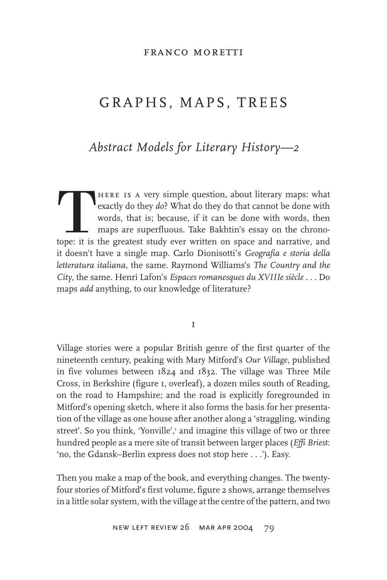# FRANCO MORFTTI franco more territori

# GRAPHS, MAPS, TREES

# *Abstract Models for Literary History—2*

THERE IS A very simple question, about literary maps: what exactly do they *do*? What do they do that cannot be done with words, then maps are superfluous. Take Bakhtin's essay on the chronotope: it is the greatest study e exactly do they *do*? What do they do that cannot be done with words, that is; because, if it can be done with words, then maps are superfluous. Take Bakhtin's essay on the chronotope: it is the greatest study ever written on space and narrative, and it doesn't have a single map. Carlo Dionisotti's *Geografia e storia della letteratura italiana*, the same. Raymond Williams's *The Country and the City*, the same. Henri Lafon's *Espaces romanesques du XVIIIe siècle* . . . Do maps *add* anything, to our knowledge of literature?

 $\mathbf{I}$ 

Village stories were a popular British genre of the first quarter of the nineteenth century, peaking with Mary Mitford's *Our Village*, published in five volumes between 1824 and 1832. The village was Three Mile Cross, in Berkshire (figure 1, overleaf), a dozen miles south of Reading, on the road to Hampshire; and the road is explicitly foregrounded in Mitford's opening sketch, where it also forms the basis for her presentation of the village as one house after another along a 'straggling, winding street'. So you think, 'Yonville',<sub>'</sub> and imagine this village of two or three hundred people as a mere site of transit between larger places (*Effi Briest*: 'no, the Gdansk–Berlin express does not stop here . . .'). Easy.

Then you make a map of the book, and everything changes. The twentyfour stories of Mitford's first volume, figure 2 shows, arrange themselves in a little solar system, with the village at the centre of the pattern, and two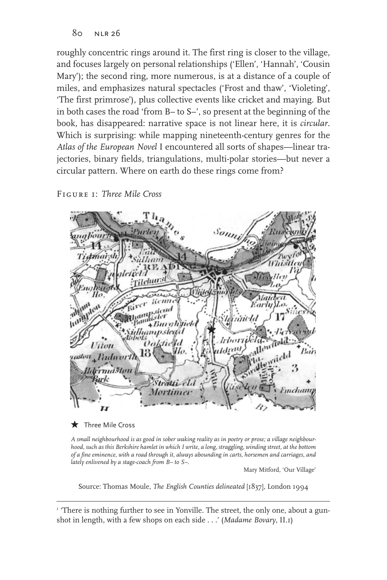roughly concentric rings around it. The first ring is closer to the village, and focuses largely on personal relationships ('Ellen', 'Hannah', 'Cousin Mary'); the second ring, more numerous, is at a distance of a couple of miles, and emphasizes natural spectacles ('Frost and thaw', 'Violeting', 'The first primrose'), plus collective events like cricket and maying. But in both cases the road 'from B– to S–', so present at the beginning of the book, has disappeared: narrative space is not linear here, it is *circular*. Which is surprising: while mapping nineteenth-century genres for the *Atlas of the European Novel* I encountered all sorts of shapes—linear trajectories, binary fields, triangulations, multi-polar stories—but never a circular pattern. Where on earth do these rings come from?

Figure 1: *Three Mile Cross*



Three Mile Cross

*A small neighbourhood is as good in sober waking reality as in poetry or prose; a village neighbourhood, such as this Berkshire hamlet in which I write, a long, straggling, winding street, at the bottom of a fine eminence, with a road through it, always abounding in carts, horsemen and carriages, and lately enlivened by a stage-coach from B– to S–.* 

Mary Mitford, 'Our Village'

Source: Thomas Moule, *The English Counties delineated* [1837], London 1994

<sup>1</sup> 'There is nothing further to see in Yonville. The street, the only one, about a gunshot in length, with a few shops on each side . . .' (*Madame Bovary*, II.1)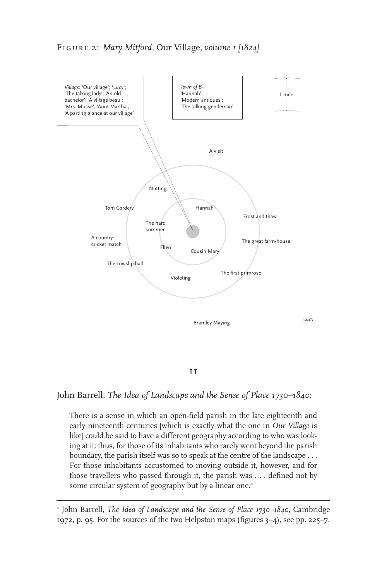

# John Barrell, *The Idea of Landscape and the Sense of Place 1730–1840*:

There is a sense in which an open-field parish in the late eighteenth and early nineteenth centuries [which is exactly what the one in *Our Village* is like] could be said to have a different geography according to who was looking at it: thus, for those of its inhabitants who rarely went beyond the parish boundary, the parish itself was so to speak at the centre of the landscape . . . For those inhabitants accustomed to moving outside it, however, and for those travellers who passed through it, the parish was . . . defined not by some circular system of geography but by a linear one.<sup>2</sup>

2 John Barrell, *The Idea of Landscape and the Sense of Place 1730–1840*, Cambridge 1972, p. 95. For the sources of the two Helpston maps (figures 3–4), see pp. 225–7.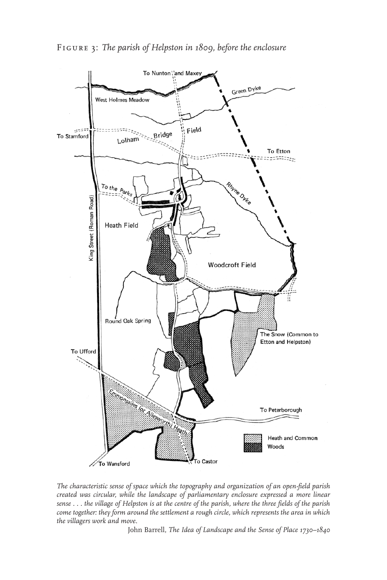

Figure 3: *The parish of Helpston in 1809, before the enclosure* 

*The characteristic sense of space which the topography and organization of an open-field parish created was circular, while the landscape of parliamentary enclosure expressed a more linear sense . . . the village of Helpston is at the centre of the parish, where the three fields of the parish come together: they form around the settlement a rough circle, which represents the area in which the villagers work and move.*

John Barrell, *The Idea of Landscape and the Sense of Place 1730–1840*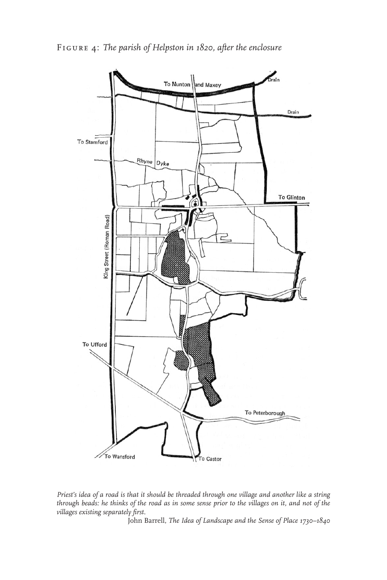

Figure 4: *The parish of Helpston in 1820, after the enclosure*



John Barrell, *The Idea of Landscape and the Sense of Place 1730–1840*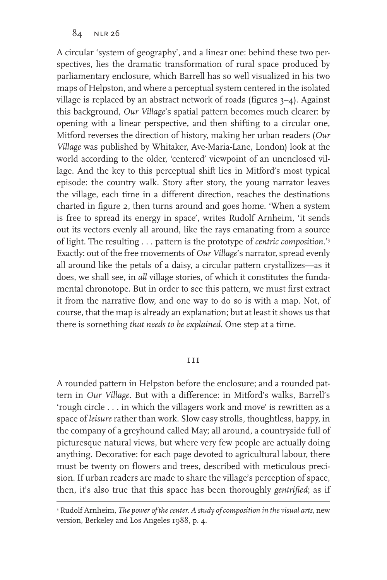A circular 'system of geography', and a linear one: behind these two perspectives, lies the dramatic transformation of rural space produced by parliamentary enclosure, which Barrell has so well visualized in his two maps of Helpston, and where a perceptual system centered in the isolated village is replaced by an abstract network of roads (figures 3–4). Against this background, *Our Village*'s spatial pattern becomes much clearer: by opening with a linear perspective, and then shifting to a circular one, Mitford reverses the direction of history, making her urban readers (*Our Village* was published by Whitaker, Ave-Maria-Lane, London) look at the world according to the older, 'centered' viewpoint of an unenclosed village. And the key to this perceptual shift lies in Mitford's most typical episode: the country walk. Story after story, the young narrator leaves the village, each time in a different direction, reaches the destinations charted in figure 2, then turns around and goes home. 'When a system is free to spread its energy in space', writes Rudolf Arnheim, 'it sends out its vectors evenly all around, like the rays emanating from a source of light. The resulting . . . pattern is the prototype of *centric composition*.'3 Exactly: out of the free movements of *Our Village*'s narrator, spread evenly all around like the petals of a daisy, a circular pattern crystallizes—as it does, we shall see, in *all* village stories, of which it constitutes the fundamental chronotope. But in order to see this pattern, we must first extract it from the narrative flow, and one way to do so is with a map. Not, of course, that the map is already an explanation; but at least it shows us that there is something *that needs to be explained*. One step at a time.

# $III$

A rounded pattern in Helpston before the enclosure; and a rounded pattern in *Our Village*. But with a difference: in Mitford's walks, Barrell's 'rough circle . . . in which the villagers work and move' is rewritten as a space of *leisure* rather than work. Slow easy strolls, thoughtless, happy, in the company of a greyhound called May; all around, a countryside full of picturesque natural views, but where very few people are actually doing anything. Decorative: for each page devoted to agricultural labour, there must be twenty on flowers and trees, described with meticulous precision. If urban readers are made to share the village's perception of space, then, it's also true that this space has been thoroughly *gentrified*; as if

<sup>3</sup> Rudolf Arnheim, *The power of the center. A study of composition in the visual arts*, new version, Berkeley and Los Angeles 1988, p. 4.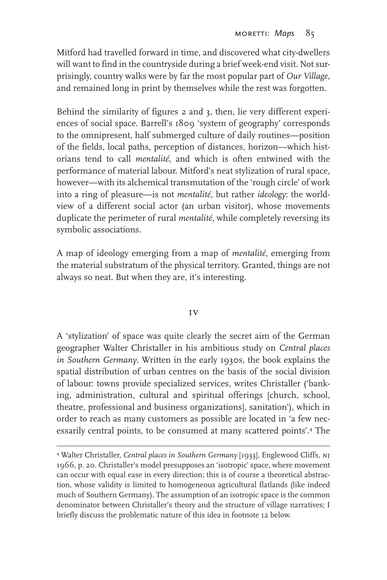Mitford had travelled forward in time, and discovered what city-dwellers will want to find in the countryside during a brief week-end visit. Not surprisingly, country walks were by far the most popular part of *Our Village*, and remained long in print by themselves while the rest was forgotten.

Behind the similarity of figures 2 and 3, then, lie very different experiences of social space. Barrell's 1809 'system of geography' corresponds to the omnipresent, half submerged culture of daily routines—position of the fields, local paths, perception of distances, horizon—which historians tend to call *mentalité*, and which is often entwined with the performance of material labour. Mitford's neat stylization of rural space, however—with its alchemical transmutation of the 'rough circle' of work into a ring of pleasure—is not *mentalité*, but rather *ideo logy*: the worldview of a different social actor (an urban visitor), whose movements duplicate the perimeter of rural *mentalité*, while completely reversing its symbolic associations.

A map of ideology emerging from a map of *mentalité*, emerging from the material substratum of the physical territory. Granted, things are not always so neat. But when they are, it's interesting.

A 'stylization' of space was quite clearly the secret aim of the German geographer Walter Christaller in his ambitious study on *Central places in Southern Germany*. Written in the early 1930s, the book explains the spatial distribution of urban centres on the basis of the social division of labour: towns provide specialized services, writes Christaller ('banking, administration, cultural and spiritual offerings [church, school, theatre, professional and business organizations], sanitation'), which in order to reach as many customers as possible are located in 'a few necessarily central points, to be consumed at many scattered points'.4 The

<sup>4</sup> Walter Christaller, *Central places in Southern Germany* [1933], Englewood Cliffs, nj 1966, p. 20. Christaller's model presupposes an 'isotropic' space, where movement can occur with equal ease in every direction; this is of course a theoretical abstraction, whose validity is limited to homogeneous agricultural flatlands (like indeed much of Southern Germany). The assumption of an isotropic space is the common denominator between Christaller's theory and the structure of village narratives; I briefly discuss the problematic nature of this idea in footnote 12 below.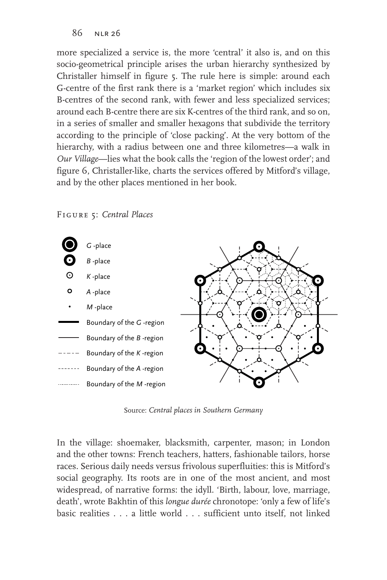more specialized a service is, the more 'central' it also is, and on this socio-geometrical principle arises the urban hierarchy synthesized by Christaller himself in figure 5. The rule here is simple: around each G-centre of the first rank there is a 'market region' which includes six B-centres of the second rank, with fewer and less specialized services; around each B-centre there are six K-centres of the third rank, and so on, in a series of smaller and smaller hexagons that subdivide the territory according to the principle of 'close packing'. At the very bottom of the hierarchy, with a radius between one and three kilometres—a walk in *Our Village*—lies what the book calls the 'region of the lowest order'; and figure 6, Christaller-like, charts the services offered by Mitford's village, and by the other places mentioned in her book.



# Figure 5: *Central Places*

Source: *Central places in Southern Germany*

In the village: shoemaker, blacksmith, carpenter, mason; in London and the other towns: French teachers, hatters, fashionable tailors, horse races. Serious daily needs versus frivolous superfluities: this is Mitford's social geography. Its roots are in one of the most ancient, and most widespread, of narrative forms: the idyll. 'Birth, labour, love, marriage, death', wrote Bakhtin of this *longue durée* chronotope: 'only a few of life's basic realities . . . a little world . . . sufficient unto itself, not linked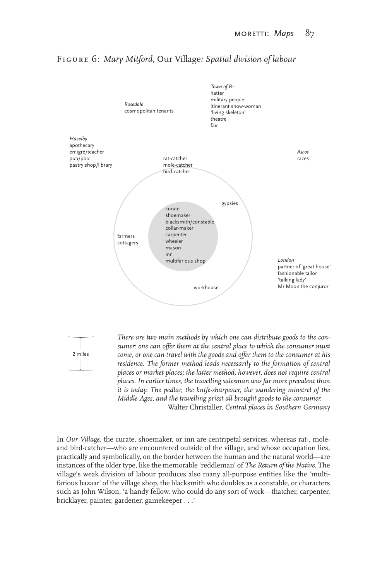

# Figure 6: *Mary Mitford,* Our Village*: Spatial division of labour*



*There are two main methods by which one can distribute goods to the consumer: one can offer them at the central place to which the consumer must come, or one can travel with the goods and offer them to the consumer at his*  residence. The former method leads necessarily to the formation of central *places or market places; the latter method, however, does not require central places. In earlier times, the travelling salesman was far more prevalent than it is today. The pedlar, the knife-sharpener, the wandering minstrel of the Middle Ages, and the travelling priest all brought goods to the consumer.*

Walter Christaller, *Central places in Southern Germany*

In *Our Village*, the curate, shoemaker, or inn are centripetal services, whereas rat-, moleand bird-catcher—who are encountered outside of the village, and whose occupation lies, practically and symbolically, on the border between the human and the natural world—are instances of the older type, like the memorable 'reddleman' of *The Return of the Native*. The village's weak division of labour produces also many all-purpose entities like the 'multifarious bazaar' of the village shop, the blacksmith who doubles as a constable, or characters such as John Wilson, 'a handy fellow, who could do any sort of work—thatcher, carpenter, bricklayer, painter, gardener, gamekeeper . . .'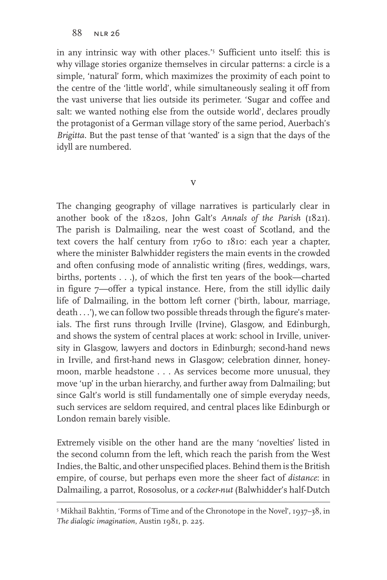in any intrinsic way with other places.'5 Sufficient unto itself: this is why village stories organize themselves in circular patterns: a circle is a simple, 'natural' form, which maximizes the proximity of each point to the centre of the 'little world', while simultaneously sealing it off from the vast universe that lies outside its perimeter. 'Sugar and coffee and salt: we wanted nothing else from the outside world', declares proudly the protagonist of a German village story of the same period, Auerbach's *Brigitta*. But the past tense of that 'wanted' is a sign that the days of the idyll are numbered.

The changing geography of village narratives is particularly clear in another book of the 1820s, John Galt's *Annals of the Parish* (1821). The parish is Dalmailing, near the west coast of Scotland, and the text covers the half century from 1760 to 1810: each year a chapter, where the minister Balwhidder registers the main events in the crowded and often confusing mode of annalistic writing (fires, weddings, wars, births, portents . . .), of which the first ten years of the book—charted in figure 7—offer a typical instance. Here, from the still idyllic daily life of Dalmailing, in the bottom left corner ('birth, labour, marriage, death . . .'), we can follow two possible threads through the figure's materials. The first runs through Irville (Irvine), Glasgow, and Edinburgh, and shows the system of central places at work: school in Irville, university in Glasgow, lawyers and doctors in Edinburgh; second-hand news in Irville, and first-hand news in Glasgow; celebration dinner, honeymoon, marble headstone . . . As services become more unusual, they move 'up' in the urban hierarchy, and further away from Dalmailing; but since Galt's world is still fundamentally one of simple everyday needs, such services are seldom required, and central places like Edinburgh or London remain barely visible.

Extremely visible on the other hand are the many 'novelties' listed in the second column from the left, which reach the parish from the West Indies, the Baltic, and other unspecified places. Behind them is the British empire, of course, but perhaps even more the sheer fact of *distance*: in Dalmailing, a parrot, Rososolus, or a *cocker-nut* (Balwhidder's half-Dutch

<sup>5</sup> Mikhail Bakhtin, 'Forms of Time and of the Chronotope in the Novel', 1937–38, in *The dialogic imagination*, Austin 1981, p. 225.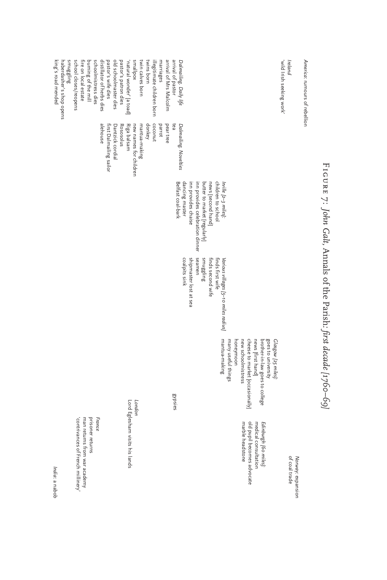| India: a nabob                                                   |                                                     |                                                                   |                                     |                         | king's road mended<br>haberdasher's shop opens |
|------------------------------------------------------------------|-----------------------------------------------------|-------------------------------------------------------------------|-------------------------------------|-------------------------|------------------------------------------------|
|                                                                  |                                                     |                                                                   |                                     |                         | school closes/reopens<br>smuggling             |
| man returns from war academy<br>contrivances of French millinery |                                                     |                                                                   |                                     |                         | fire on local estate                           |
| prisoner returns                                                 |                                                     |                                                                   |                                     |                         | burning of the mill                            |
| France                                                           |                                                     |                                                                   |                                     |                         | schoolmistress dies                            |
|                                                                  |                                                     |                                                                   |                                     | alehouse                | distillator of herbs dies                      |
|                                                                  |                                                     |                                                                   |                                     | first Dalmailing sailor | pastor's wife dies                             |
|                                                                  |                                                     |                                                                   |                                     | Dantzick cordial        | old schoolmaster dies                          |
|                                                                  |                                                     |                                                                   |                                     | Rososolus               | pastor's patron dies                           |
| Lord Eglesham visits his lands                                   |                                                     |                                                                   |                                     | Riga balsam             | 'natural wonder' [a toad]                      |
|                                                                  | London                                              |                                                                   |                                     | new names tor children  | smallpox                                       |
|                                                                  |                                                     |                                                                   |                                     | mantua-making           | twin calves born                               |
|                                                                  |                                                     |                                                                   |                                     | donkey                  | twins born                                     |
|                                                                  |                                                     |                                                                   |                                     | coconut                 | illegitimate children born                     |
|                                                                  |                                                     |                                                                   |                                     | parrot                  | marriages                                      |
|                                                                  |                                                     |                                                                   |                                     | pear tree               | arrival of Mrs Malcolm                         |
|                                                                  | <b>gypsies</b>                                      |                                                                   |                                     | tea                     | arrival of pastor                              |
|                                                                  |                                                     | coalpits sink                                                     | Belfast coal-bark<br>dancing master | Dalmailing. Novelties   | Dalmailing. Daily life                         |
|                                                                  |                                                     | shipmaster lost at sea                                            | inn provides chaise                 |                         |                                                |
|                                                                  |                                                     | seamen                                                            | inn provides celebration dinner     |                         |                                                |
|                                                                  |                                                     | au <sub>l</sub> aanus                                             | butter to market [regularly]        |                         |                                                |
|                                                                  |                                                     |                                                                   |                                     |                         |                                                |
|                                                                  |                                                     | finds second wife                                                 | news [second hand]                  |                         |                                                |
|                                                                  |                                                     | finds first wife                                                  | children to school                  |                         |                                                |
|                                                                  | mantua-making                                       | Various villages [5–10 miles radius]                              | lrville [2–3 miles]:                |                         |                                                |
|                                                                  | many useful things                                  |                                                                   |                                     |                         |                                                |
|                                                                  | honeymoon                                           |                                                                   |                                     |                         |                                                |
| marble headstone                                                 | new schoolmistress                                  |                                                                   |                                     |                         |                                                |
| old pupil becomes advocate                                       | cheese to market [occasionally]                     |                                                                   |                                     |                         |                                                |
| medical consultation<br>Edinburgh [60 miles]:                    | news [first hand]<br>brother-in-law goes to college |                                                                   |                                     |                         |                                                |
|                                                                  | goes to university                                  |                                                                   |                                     |                         |                                                |
|                                                                  | Clasgow [25 miles]:                                 |                                                                   |                                     |                         |                                                |
|                                                                  |                                                     |                                                                   |                                     |                         | "Wild Irish seeking work"                      |
| of coal trade                                                    |                                                     |                                                                   |                                     |                         | Ireland                                        |
| Norway: expansion                                                |                                                     |                                                                   |                                     |                         |                                                |
|                                                                  |                                                     |                                                                   |                                     |                         | America: rumours of rebellion                  |
|                                                                  |                                                     |                                                                   |                                     |                         |                                                |
|                                                                  |                                                     | FIGURE 7: John Galt, Annals of the Parish: first decade [1760-69] |                                     |                         |                                                |
|                                                                  |                                                     |                                                                   |                                     |                         |                                                |

: a nabob e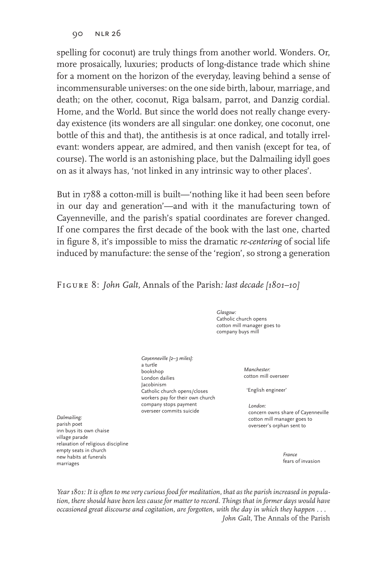spelling for coconut) are truly things from another world. Wonders. Or, more prosaically, luxuries; products of long-distance trade which shine for a moment on the horizon of the everyday, leaving behind a sense of incommensurable universes: on the one side birth, labour, marriage, and death; on the other, coconut, Riga balsam, parrot, and Danzig cordial. Home, and the World. But since the world does not really change everyday existence (its wonders are all singular: one donkey, one coconut, one bottle of this and that), the antithesis is at once radical, and totally irrelevant: wonders appear, are admired, and then vanish (except for tea, of course). The world is an astonishing place, but the Dalmailing idyll goes on as it always has, 'not linked in any intrinsic way to other places'.

But in 1788 a cotton-mill is built—'nothing like it had been seen before in our day and generation'—and with it the manufacturing town of Cayenneville, and the parish's spatial coordinates are forever changed. If one compares the first decade of the book with the last one, charted in figure 8, it's impossible to miss the dramatic *re-centering* of social life induced by manufacture: the sense of the 'region', so strong a generation

Figure 8: *John Galt,* Annals of the Parish*: last decade [1801–10]*

*Glasgow:* Catholic church opens cotton mill manager goes to company buys mill

*Cayenneville [2–3 miles]:* a turtle bookshop London dailies Jacobinism Catholic church opens/closes workers pay for their own church company stops payment overseer commits suicide

*Manchester:* cotton mill overseer

'English engineer'

*London:* concern owns share of Cayenneville cotton mill manager goes to overseer's orphan sent to

> *France* fears of invasion

*Year 1801: It is often to me very curious food for meditation, that as the parish increased in population, there should have been less cause for matter to record. Things that in former days would have occasioned great discourse and cogitation, are forgotten, with the day in which they happen . . . John Galt,* The Annals of the Parish

*Dalmailing:*  parish poet inn buys its own chaise village parade relaxation of religious discipline empty seats in church new habits at funerals marriages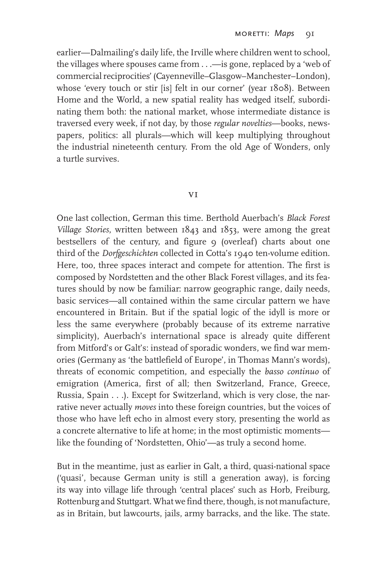earlier—Dalmailing's daily life, the Irville where children went to school, the villages where spouses came from . . .—is gone, replaced by a 'web of commercial reciprocities' (Cayenneville–Glasgow–Manchester–London), whose 'every touch or stir [is] felt in our corner' (year 1808). Between Home and the World, a new spatial reality has wedged itself, subordinating them both: the national market, whose intermediate distance is traversed every week, if not day, by those *regular novelties*—books, newspapers, politics: all plurals—which will keep multiplying throughout the industrial nineteenth century. From the old Age of Wonders, only a turtle survives.

### $V<sub>I</sub>$

One last collection, German this time. Berthold Auerbach's *Black Forest Village Stories*, written between 1843 and 1853, were among the great bestsellers of the century, and figure  $\varphi$  (overleaf) charts about one third of the *Dorfgeschichten* collected in Cotta's 1940 ten-volume edition. Here, too, three spaces interact and compete for attention. The first is composed by Nordstetten and the other Black Forest villages, and its features should by now be familiar: narrow geographic range, daily needs, basic services—all contained within the same circular pattern we have encountered in Britain. But if the spatial logic of the idyll is more or less the same everywhere (probably because of its extreme narrative simplicity), Auerbach's international space is already quite different from Mitford's or Galt's: instead of sporadic wonders, we find war memories (Germany as 'the battlefield of Europe', in Thomas Mann's words), threats of economic competition, and especially the *basso continuo* of emigration (America, first of all; then Switzerland, France, Greece, Russia, Spain . . .). Except for Switzerland, which is very close, the narrative never actually *moves* into these foreign countries, but the voices of those who have left echo in almost every story, presenting the world as a concrete alternative to life at home; in the most optimistic moments like the founding of 'Nordstetten, Ohio'—as truly a second home.

But in the meantime, just as earlier in Galt, a third, quasi-national space ('quasi', because German unity is still a generation away), is forcing its way into village life through 'central places' such as Horb, Freiburg, Rottenburg and Stuttgart. What we find there, though, is not manufacture, as in Britain, but lawcourts, jails, army barracks, and the like. The state.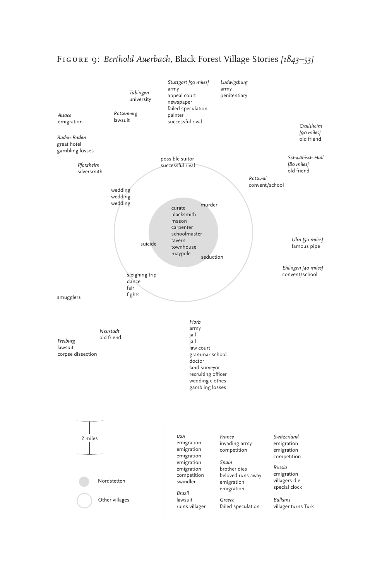

# Figure 9: *Berthold Auerbach,* Black Forest Village Stories *[1843–53]*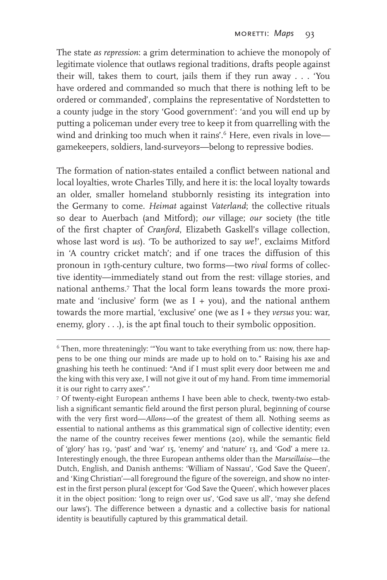The state *as repression*: a grim determination to achieve the monopoly of legitimate violence that outlaws regional traditions, drafts people against their will, takes them to court, jails them if they run away . . . 'You have ordered and commanded so much that there is nothing left to be ordered or commanded', complains the representative of Nordstetten to a county judge in the story 'Good government': 'and you will end up by putting a policeman under every tree to keep it from quarrelling with the wind and drinking too much when it rains'.<sup>6</sup> Here, even rivals in love gamekeepers, soldiers, land-surveyors—belong to repressive bodies.

The formation of nation-states entailed a conflict between national and local loyalties, wrote Charles Tilly, and here it is: the local loyalty towards an older, smaller homeland stubbornly resisting its integration into the Germany to come. *Heimat* against *Vaterland*; the collective rituals so dear to Auerbach (and Mitford); *our* village; *our* society (the title of the first chapter of *Cranford*, Elizabeth Gaskell's village collection, whose last word is *us*). 'To be authorized to say *we*!', exclaims Mitford in 'A country cricket match'; and if one traces the diffusion of this pronoun in 19th-century culture, two forms—two *rival* forms of collective identity—immediately stand out from the rest: village stories, and national anthems.7 That the local form leans towards the more proximate and 'inclusive' form (we as  $I + you$ ), and the national anthem towards the more martial, 'exclusive' one (we as I + they *versus* you: war, enemy, glory . . .), is the apt final touch to their symbolic opposition.

 $6$  Then, more threateningly: "You want to take everything from us: now, there happens to be one thing our minds are made up to hold on to." Raising his axe and gnashing his teeth he continued: "And if I must split every door between me and the king with this very axe, I will not give it out of my hand. From time immemorial it is our right to carry axes".'

<sup>7</sup> Of twenty-eight European anthems I have been able to check, twenty-two establish a significant semantic field around the first person plural, beginning of course with the very first word—*Allons*—of the greatest of them all. Nothing seems as essential to national anthems as this grammatical sign of collective identity; even the name of the country receives fewer mentions (20), while the semantic field of 'glory' has 19, 'past' and 'war' 15, 'enemy' and 'nature' 13, and 'God' a mere 12. Interestingly enough, the three European anthems older than the *Marseillaise*—the Dutch, English, and Danish anthems: 'William of Nassau', 'God Save the Queen', and 'King Christian'—all foreground the figure of the sovereign, and show no interest in the first person plural (except for 'God Save the Queen', which however places it in the object position: 'long to reign over us', 'God save us all', 'may she defend our laws'). The difference between a dynastic and a collective basis for national identity is beautifully captured by this grammatical detail.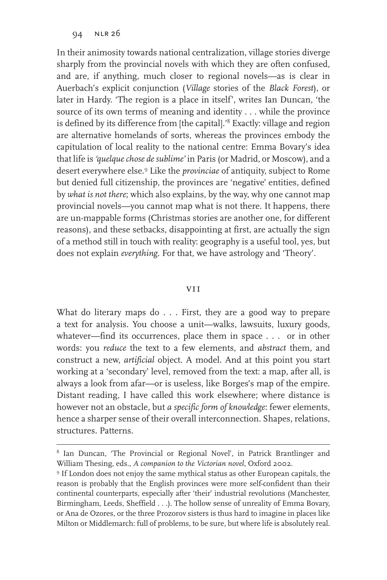In their animosity towards national centralization, village stories diverge sharply from the provincial novels with which they are often confused, and are, if anything, much closer to regional novels—as is clear in Auerbach's explicit conjunction (*Village* stories of the *Black Forest*), or later in Hardy. 'The region is a place in itself', writes Ian Duncan, 'the source of its own terms of meaning and identity . . . while the province is defined by its difference from [the capital].'8 Exactly: village and region are alternative homelands of sorts, whereas the provinces embody the capitulation of local reality to the national centre: Emma Bovary's idea that life is *'quelque chose de sublime'* in Paris (or Madrid, or Moscow), and a desert everywhere else.9 Like the *provinciae* of antiquity, subject to Rome but denied full citizenship, the provinces are 'negative' entities, defined by *what is not there*; which also explains, by the way, why one cannot map provincial novels—you cannot map what is not there. It happens, there are un-mappable forms (Christmas stories are another one, for different reasons), and these setbacks, disappointing at first, are actually the sign of a method still in touch with reality: geography is a useful tool, yes, but does not explain *everything*. For that, we have astrology and 'Theory'.

## **VII**

What do literary maps do . . . First, they are a good way to prepare a text for analysis. You choose a unit—walks, lawsuits, luxury goods, whatever—find its occurrences, place them in space . . . or in other words: you *reduce* the text to a few elements, and *abstract* them, and construct a new, *artificial* object. A model. And at this point you start working at a 'secondary' level, removed from the text: a map, after all, is always a look from afar—or is useless, like Borges's map of the empire. Distant reading, I have called this work elsewhere; where distance is however not an obstacle, but *a specific form of knowledge*: fewer elements, hence a sharper sense of their overall interconnection. Shapes, relations, structures. Patterns.

<sup>8</sup> Ian Duncan, 'The Provincial or Regional Novel', in Patrick Brantlinger and William Thesing, eds., *A companion to the Victorian novel*, Oxford 2002.

<sup>9</sup> If London does not enjoy the same mythical status as other European capitals, the reason is probably that the English provinces were more self-confident than their continental counterparts, especially after 'their' industrial revolutions (Manchester, Birmingham, Leeds, Sheffield . . .). The hollow sense of unreality of Emma Bovary, or Ana de Ozores, or the three Prozorov sisters is thus hard to imagine in places like Milton or Middlemarch: full of problems, to be sure, but where life is absolutely real.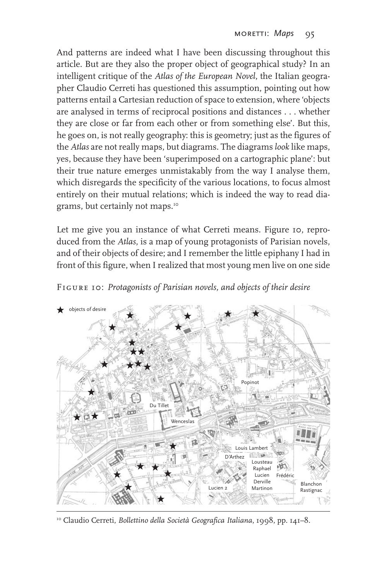And patterns are indeed what I have been discussing throughout this article. But are they also the proper object of geographical study? In an intelligent critique of the *Atlas of the European Novel*, the Italian geographer Claudio Cerreti has questioned this assumption, pointing out how patterns entail a Cartesian reduction of space to extension, where 'objects are analysed in terms of reciprocal positions and distances . . . whether they are close or far from each other or from something else'. But this, he goes on, is not really geography: this is geometry; just as the figures of the *Atlas* are not really maps, but diagrams. The diagrams *look* like maps, yes, because they have been 'superimposed on a cartographic plane': but their true nature emerges unmistakably from the way I analyse them, which disregards the specificity of the various locations, to focus almost entirely on their mutual relations; which is indeed the way to read diagrams, but certainly not maps.10

Let me give you an instance of what Cerreti means. Figure 10, reproduced from the *Atlas*, is a map of young protagonists of Parisian novels, and of their objects of desire; and I remember the little epiphany I had in front of this figure, when I realized that most young men live on one side





10 Claudio Cerreti, *Bollettino della Società Geografica Italiana*, 1998, pp. 141–8.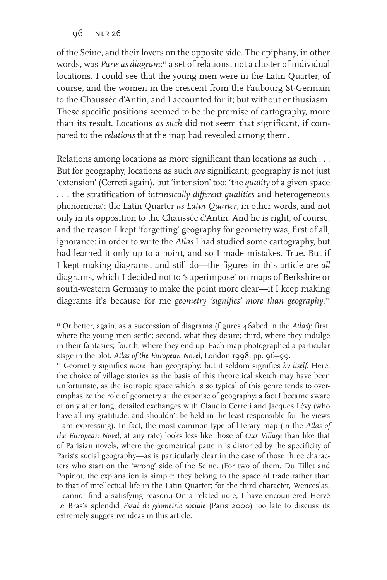of the Seine, and their lovers on the opposite side. The epiphany, in other words, was *Paris as diagram*: 11 a set of relations, not a cluster of individual locations. I could see that the young men were in the Latin Quarter, of course, and the women in the crescent from the Faubourg St-Germain to the Chaussée d'Antin, and I accounted for it; but without enthusiasm. These specific positions seemed to be the premise of cartography, more than its result. Locations *as such* did not seem that significant, if compared to the *relations* that the map had revealed among them.

Relations among locations as more significant than locations as such . . . But for geography, locations as such *are* significant; geography is not just 'extension' (Cerreti again), but 'intension' too: 'the *quality* of a given space . . . the stratification of *intrinsically different qualities* and heterogeneous phenomena': the Latin Quarter *as Latin Quarter*, in other words, and not only in its opposition to the Chaussée d'Antin. And he is right, of course, and the reason I kept 'forgetting' geography for geometry was, first of all, ignorance: in order to write the *Atlas* I had studied some cartography, but had learned it only up to a point, and so I made mistakes. True. But if I kept making diagrams, and still do—the figures in this article are *all* diagrams, which I decided not to 'superimpose' on maps of Berkshire or south-western Germany to make the point more clear—if I keep making diagrams it's because for me *geometry 'signifies' more than geography*. 12

<sup>11</sup> Or better, again, as a succession of diagrams (figures 46abcd in the *Atlas*): first, where the young men settle; second, what they desire; third, where they indulge in their fantasies; fourth, where they end up. Each map photographed a particular stage in the plot. *Atlas of the European Novel*, London 1998, pp. 96–99.

<sup>12</sup> Geometry signifies *more* than geography: but it seldom signifies *by itself*. Here, the choice of village stories as the basis of this theoretical sketch may have been unfortunate, as the isotropic space which is so typical of this genre tends to overemphasize the role of geometry at the expense of geography: a fact I became aware of only after long, detailed exchanges with Claudio Cerreti and Jacques Lévy (who have all my gratitude, and shouldn't be held in the least responsible for the views I am expressing). In fact, the most common type of literary map (in the *Atlas of the European Novel*, at any rate) looks less like those of *Our Village* than like that of Parisian novels, where the geometrical pattern is distorted by the specificity of Paris's social geography—as is particularly clear in the case of those three characters who start on the 'wrong' side of the Seine. (For two of them, Du Tillet and Popinot, the explanation is simple: they belong to the space of trade rather than to that of intellectual life in the Latin Quarter; for the third character, Wenceslas, I cannot find a satisfying reason.) On a related note, I have encountered Hervé Le Bras's splendid *Essai de géométrie sociale* (Paris 2000) too late to discuss its extremely suggestive ideas in this article.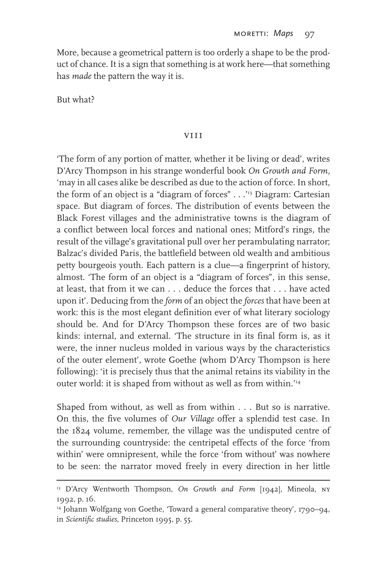More, because a geometrical pattern is too orderly a shape to be the product of chance. It is a sign that something is at work here—that something has *made* the pattern the way it is.

But what?

#### **VIII**

'The form of any portion of matter, whether it be living or dead', writes D'Arcy Thompson in his strange wonderful book *On Growth and Form,* 'may in all cases alike be described as due to the action of force. In short, the form of an object is a "diagram of forces" . . .'13 Diagram: Cartesian space. But diagram of forces. The distribution of events between the Black Forest villages and the administrative towns is the diagram of a conflict between local forces and national ones; Mitford's rings, the result of the village's gravitational pull over her perambulating narrator; Balzac's divided Paris, the battlefield between old wealth and ambitious petty bourgeois youth. Each pattern is a clue—a fingerprint of history, almost. 'The form of an object is a "diagram of forces", in this sense, at least, that from it we can . . . deduce the forces that . . . have acted upon it'. Deducing from the *form* of an object the *forces* that have been at work: this is the most elegant definition ever of what literary sociology should be. And for D'Arcy Thompson these forces are of two basic kinds: internal, and external. 'The structure in its final form is, as it were, the inner nucleus molded in various ways by the characteristics of the outer element', wrote Goethe (whom D'Arcy Thompson is here following): 'it is precisely thus that the animal retains its viability in the outer world: it is shaped from without as well as from within.'14

Shaped from without, as well as from within . . . But so is narrative. On this, the five volumes of *Our Village* offer a splendid test case. In the 1824 volume, remember, the village was the undisputed centre of the surrounding countryside: the centripetal effects of the force 'from within' were omnipresent, while the force 'from without' was nowhere to be seen: the narrator moved freely in every direction in her little

<sup>13</sup> D'Arcy Wentworth Thompson, *On Growth and Form* [1942], Mineola, ny 1992, p. 16.

<sup>&</sup>lt;sup>14</sup> Johann Wolfgang von Goethe, 'Toward a general comparative theory', 1790-94, in *Scientific studies*, Princeton 1995, p. 55.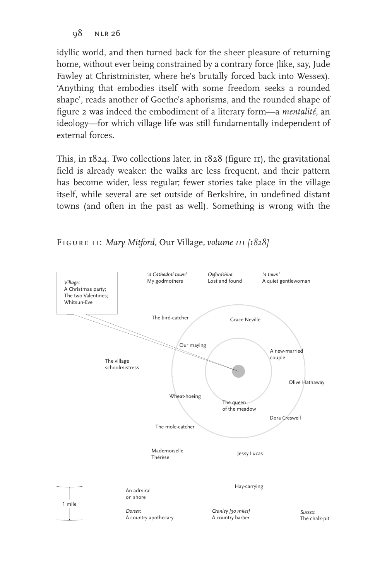idyllic world, and then turned back for the sheer pleasure of returning home, without ever being constrained by a contrary force (like, say, Jude Fawley at Christminster, where he's brutally forced back into Wessex). 'Anything that embodies itself with some freedom seeks a rounded shape', reads another of Goethe's aphorisms, and the rounded shape of figure 2 was indeed the embodiment of a literary form—a *mentalité*, an ideology—for which village life was still fundamentally independent of external forces.

This, in 1824. Two collections later, in 1828 (figure 11), the gravitational field is already weaker: the walks are less frequent, and their pattern has become wider, less regular; fewer stories take place in the village itself, while several are set outside of Berkshire, in undefined distant towns (and often in the past as well). Something is wrong with the

Figure 11: *Mary Mitford,* Our Village*, volume iii [1828]*

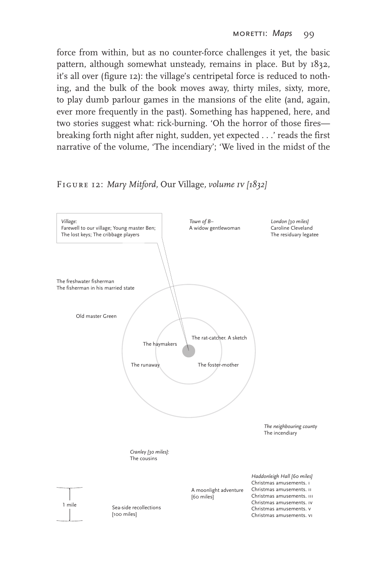force from within, but as no counter-force challenges it yet, the basic pattern, although somewhat unsteady, remains in place. But by 1832, it's all over (figure 12): the village's centripetal force is reduced to nothing, and the bulk of the book moves away, thirty miles, sixty, more, to play dumb parlour games in the mansions of the elite (and, again, ever more frequently in the past). Something has happened, here, and two stories suggest what: rick-burning. 'Oh the horror of those fires breaking forth night after night, sudden, yet expected . . .' reads the first narrative of the volume, 'The incendiary'; 'We lived in the midst of the

Figure 12: *Mary Mitford,* Our Village*, volume iv [1832]*

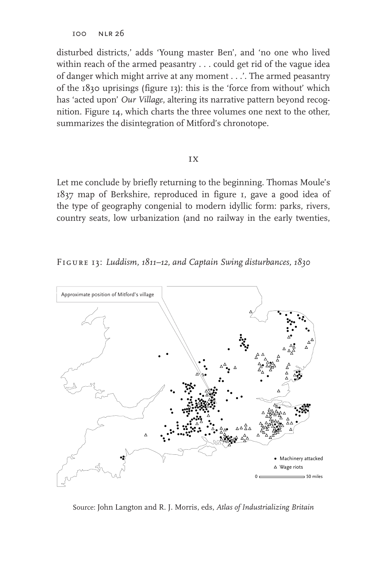disturbed districts,' adds 'Young master Ben', and 'no one who lived within reach of the armed peasantry . . . could get rid of the vague idea of danger which might arrive at any moment . . .'. The armed peasantry of the 1830 uprisings (figure 13): this is the 'force from without' which has 'acted upon' *Our Village*, altering its narrative pattern beyond recognition. Figure 14, which charts the three volumes one next to the other, summarizes the disintegration of Mitford's chronotope.

## **TX**

Let me conclude by briefly returning to the beginning. Thomas Moule's 1837 map of Berkshire, reproduced in figure 1, gave a good idea of the type of geography congenial to modern idyllic form: parks, rivers, country seats, low urbanization (and no railway in the early twenties,

Figure 13: *Luddism, 1811–12, and Captain Swing disturbances, 1830*



Source: John Langton and R. J. Morris, eds, *Atlas of Industrializing Britain*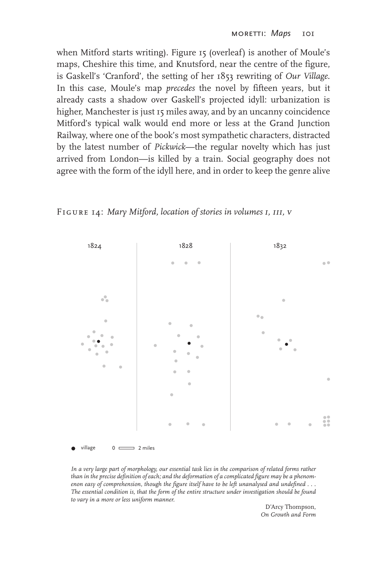when Mitford starts writing). Figure 15 (overleaf) is another of Moule's maps, Cheshire this time, and Knutsford, near the centre of the figure, is Gaskell's 'Cranford', the setting of her 1853 rewriting of *Our Village*. In this case, Moule's map *precedes* the novel by fifteen years, but it already casts a shadow over Gaskell's projected idyll: urbanization is higher, Manchester is just 15 miles away, and by an uncanny coincidence Mitford's typical walk would end more or less at the Grand Junction Railway, where one of the book's most sympathetic characters, distracted by the latest number of *Pickwick*—the regular novelty which has just arrived from London—is killed by a train. Social geography does not agree with the form of the idyll here, and in order to keep the genre alive





 $village \qquad 0 \qquad 2 \text{ miles}$ 

*In a very large part of morphology, our essential task lies in the comparison of related forms rather than in the precise definition of each; and the deformation of a complicated figure may be a phenomenon easy of comprehension, though the figure itself have to be left unanalysed and undefined . . . The essential condition is, that the form of the entire structure under investigation should be found to vary in a more or less uniform manner.* 

D'Arcy Thompson, *On Growth and Form*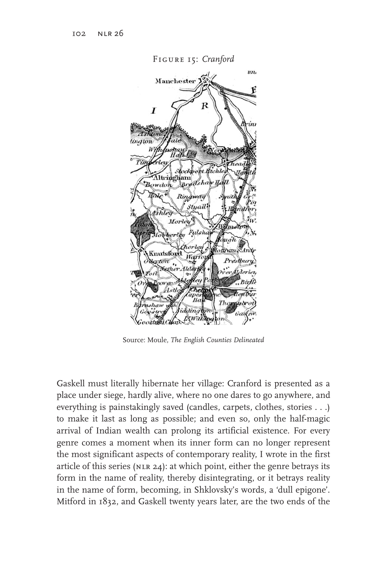

Source: Moule, *The English Counties Delineated*

Gaskell must literally hibernate her village: Cranford is presented as a place under siege, hardly alive, where no one dares to go anywhere, and everything is painstakingly saved (candles, carpets, clothes, stories . . .) to make it last as long as possible; and even so, only the half-magic arrival of Indian wealth can prolong its artificial existence. For every genre comes a moment when its inner form can no longer represent the most significant aspects of contemporary reality, I wrote in the first article of this series ( $NLR$  24): at which point, either the genre betrays its form in the name of reality, thereby disintegrating, or it betrays reality in the name of form, becoming, in Shklovsky's words, a 'dull epigone'. Mitford in 1832, and Gaskell twenty years later, are the two ends of the